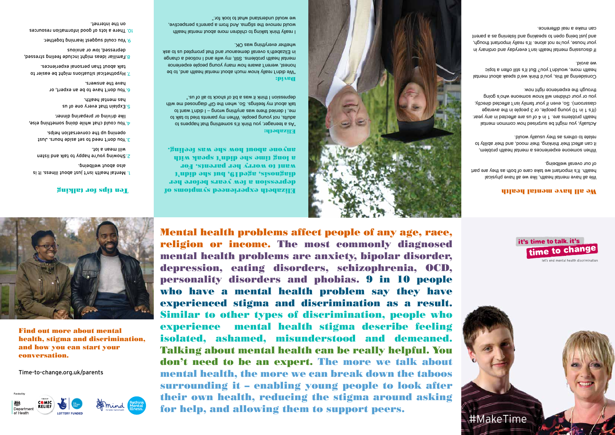

Find out more about mental health, stigma and discrimination, and how you can start your conversation.

Time-to-change.org.uk/parents



# #MakeTime



Elizabeth experienced symptoms of

## **Survey Jot sdip ual**

- i. Mental health isn't just about illness. It is
- wellbeing. **about** wellbeing.
- 2. Showing you're happy to Hist and listen
- rdl a naem lliw.
- 
- $\mathcal{S}'$  You dob 1 hours. Just hours. Just
- conversation the conversation helps.
- else, something chat while doing pomething else,
- like driving or preparing dinner.
- 
- 5. Explain that every one of us
- has mental health.
- 
- or you don't have to be an expert, or have the answers.
- 
- T. Hypothetical situations might be easier to
- talk about than personal experiences.
- stressed, faulier ideas include feeling stressed,
- anoixne no wol desessing
- 9. You could suggest learning together.

depression a few years before her diagnosis, aged19, but she didn't want to worry her parents. For a long time she que she with speak with anyone about how she was feeling.

"We didn't really know much about mental health and, to be honest, weren't aware how many young people experience mental health problems. Still, my wife and I noticed a change in Elizabeth's overall demeanour and that prompted us to ask

Elizabeth: "As a teenager, you think it's something that happens to adults, not young people. When my parents tried to talk to me, I denied there was anything wrong – I didn't want to talk about my feelings. So, when the GP diagnosed menth depression I think it was a bit of shock to all of us."



I really think talking to children more about mental health would remove the stigma. And from a parent's perspective, we would understand what to look for."

resources in a lots of good information resources on the internet.

## David:

whether everything was OK.

Actually, you might be surprised how common mental health problems are. 1 in 4 of us are affected in any year. (It's 1 in 10 young people, or 3 people in the average classroom). So, even if your family isn't affected directly, you or your children will know someone who's going through the exbeueuce right now.

Mental health problems affect people of any age, race, religion or income. The most commonly diagnosed mental health problems are anxiety, bipolar disorder, depression, eating disorders, schizophrenia, OCD, personality disorders and phobias. 9 in 10 people who have a mental health problem say they have experienced stigma and discrimination as a result. Similar to other types of discrimination, people who experience mental health stigma describe feeling isolated, ashamed, misunderstood and demeaned. Talking about mental health can be really helpful. You don't need to be an expert. The more we talk about mental health, the more we can break down the taboos surrounding it – enabling young people to look after their own health, reducing the stigma around asking for help, and allowing them to support peers.

### We all have mental health

We all have mental health, like we all have physical health. It's important we take care of both as they are part of our overall wellbeing.

When someone experiences a mental health problem, it can affect their thinking, their mood, and their ability to relate to others as they usually would.

Considering all this, you'd think we'd speak about mental health more, wouldn't you? But it's still often a topic we avoid.

If discussing mental health isn't everyday and ordinary in your house, you're not alone. It's really important though, and he is being open to speaking and the sea business and an can make a real difference.